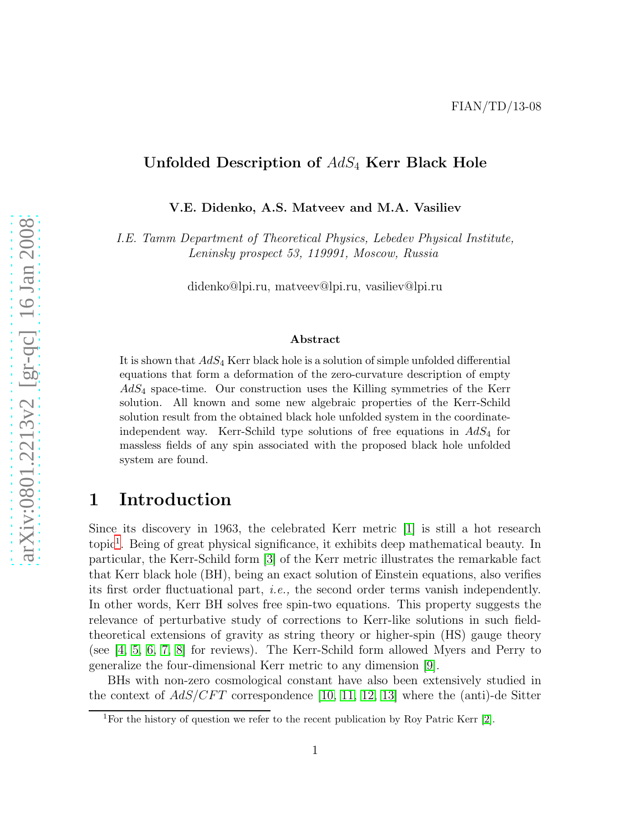### Unfolded Description of  $AdS_4$  Kerr Black Hole

V.E. Didenko, A.S. Matveev and M.A. Vasiliev

*I.E. Tamm Department of Theoretical Physics, Lebedev Physical Institute, Leninsky prospect 53, 119991, Moscow, Russia*

didenko@lpi.ru, matveev@lpi.ru, vasiliev@lpi.ru

#### Abstract

It is shown that  $AdS_4$  Kerr black hole is a solution of simple unfolded differential equations that form a deformation of the zero-curvature description of empty  $AdS_4$  space-time. Our construction uses the Killing symmetries of the Kerr solution. All known and some new algebraic properties of the Kerr-Schild solution result from the obtained black hole unfolded system in the coordinateindependent way. Kerr-Schild type solutions of free equations in  $AdS_4$  for massless fields of any spin associated with the proposed black hole unfolded system are found.

## 1 Introduction

Since its discovery in 1963, the celebrated Kerr metric [\[1\]](#page-15-0) is still a hot research topic<sup>[1](#page-0-0)</sup>. Being of great physical significance, it exhibits deep mathematical beauty. In particular, the Kerr-Schild form [\[3\]](#page-15-1) of the Kerr metric illustrates the remarkable fact that Kerr black hole (BH), being an exact solution of Einstein equations, also verifies its first order fluctuational part, *i.e.,* the second order terms vanish independently. In other words, Kerr BH solves free spin-two equations. This property suggests the relevance of perturbative study of corrections to Kerr-like solutions in such fieldtheoretical extensions of gravity as string theory or higher-spin (HS) gauge theory (see  $\begin{bmatrix} 4, 5, 6, 7, 8 \end{bmatrix}$  $\begin{bmatrix} 4, 5, 6, 7, 8 \end{bmatrix}$  $\begin{bmatrix} 4, 5, 6, 7, 8 \end{bmatrix}$  $\begin{bmatrix} 4, 5, 6, 7, 8 \end{bmatrix}$  $\begin{bmatrix} 4, 5, 6, 7, 8 \end{bmatrix}$  for reviews). The Kerr-Schild form allowed Myers and Perry to generalize the four-dimensional Kerr metric to any dimension [\[9\]](#page-15-7).

BHs with non-zero cosmological constant have also been extensively studied in the context of  $AdS/CFT$  correspondence [\[10,](#page-15-8) [11,](#page-15-9) [12,](#page-15-10) [13\]](#page-15-11) where the (anti)-de Sitter

<span id="page-0-0"></span><sup>&</sup>lt;sup>1</sup>For the history of question we refer to the recent publication by Roy Patric Kerr  $[2]$ .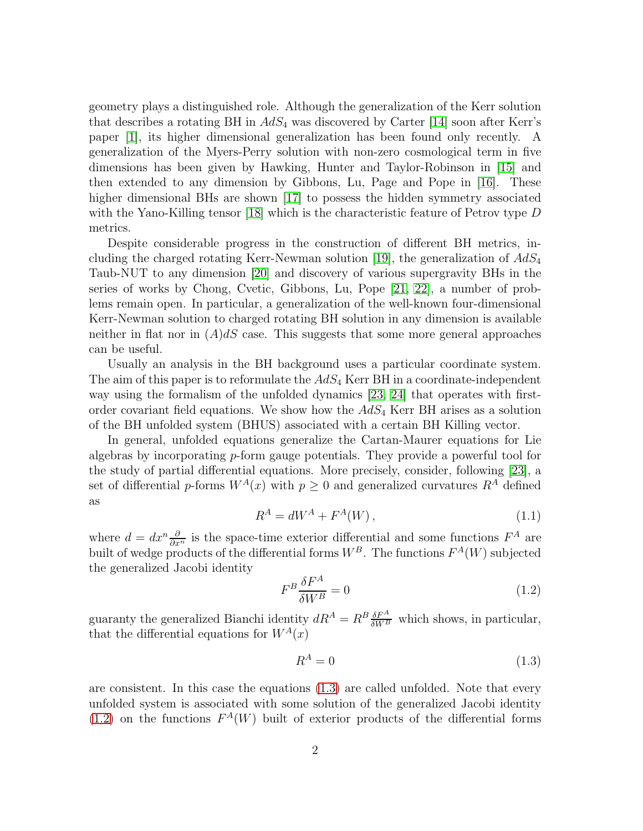geometry plays a distinguished role. Although the generalization of the Kerr solution that describes a rotating BH in  $AdS_4$  was discovered by Carter [\[14\]](#page-15-13) soon after Kerr's paper [\[1\]](#page-15-0), its higher dimensional generalization has been found only recently. A generalization of the Myers-Perry solution with non-zero cosmological term in five dimensions has been given by Hawking, Hunter and Taylor-Robinson in [\[15\]](#page-16-0) and then extended to any dimension by Gibbons, Lu, Page and Pope in [\[16\]](#page-16-1). These higher dimensional BHs are shown [\[17\]](#page-16-2) to possess the hidden symmetry associated with the Yano-Killing tensor [\[18\]](#page-16-3) which is the characteristic feature of Petrov type D metrics.

Despite considerable progress in the construction of different BH metrics, in-cluding the charged rotating Kerr-Newman solution [\[19\]](#page-16-4), the generalization of  $AdS_4$ Taub-NUT to any dimension [\[20\]](#page-16-5) and discovery of various supergravity BHs in the series of works by Chong, Cvetic, Gibbons, Lu, Pope [\[21,](#page-16-6) [22\]](#page-16-7), a number of problems remain open. In particular, a generalization of the well-known four-dimensional Kerr-Newman solution to charged rotating BH solution in any dimension is available neither in flat nor in  $(A)dS$  case. This suggests that some more general approaches can be useful.

Usually an analysis in the BH background uses a particular coordinate system. The aim of this paper is to reformulate the  $AdS_4$  Kerr BH in a coordinate-independent way using the formalism of the unfolded dynamics [\[23,](#page-16-8) [24\]](#page-16-9) that operates with firstorder covariant field equations. We show how the  $AdS_4$  Kerr BH arises as a solution of the BH unfolded system (BHUS) associated with a certain BH Killing vector.

In general, unfolded equations generalize the Cartan-Maurer equations for Lie algebras by incorporating p-form gauge potentials. They provide a powerful tool for the study of partial differential equations. More precisely, consider, following [\[23\]](#page-16-8), a set of differential p-forms  $W^A(x)$  with  $p \geq 0$  and generalized curvatures  $R^A$  defined as

$$
R^A = dW^A + F^A(W), \qquad (1.1)
$$

where  $d = dx^n \frac{\partial}{\partial x^n}$  is the space-time exterior differential and some functions  $F^A$  are built of wedge products of the differential forms  $W^B$ . The functions  $F^A(W)$  subjected the generalized Jacobi identity

<span id="page-1-1"></span>
$$
F^{B} \frac{\delta F^{A}}{\delta W^{B}} = 0 \tag{1.2}
$$

guaranty the generalized Bianchi identity  $dR^A = R^B \frac{\delta F^A}{\delta W^B}$  which shows, in particular, that the differential equations for  $W^A(x)$ 

<span id="page-1-0"></span>
$$
R^A = 0 \tag{1.3}
$$

are consistent. In this case the equations [\(1.3\)](#page-1-0) are called unfolded. Note that every unfolded system is associated with some solution of the generalized Jacobi identity  $(1.2)$  on the functions  $F^A(W)$  built of exterior products of the differential forms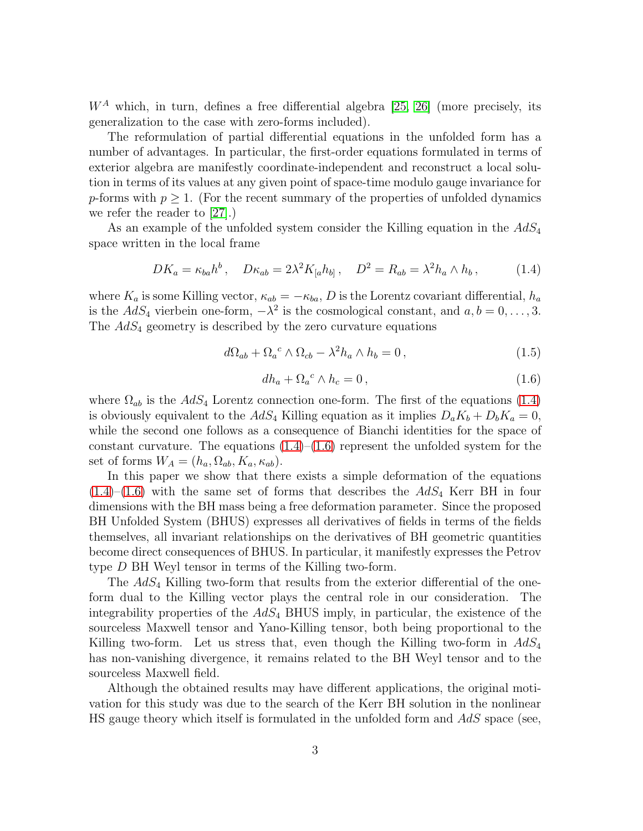$W^A$  which, in turn, defines a free differential algebra [\[25,](#page-16-10) [26\]](#page-16-11) (more precisely, its generalization to the case with zero-forms included).

The reformulation of partial differential equations in the unfolded form has a number of advantages. In particular, the first-order equations formulated in terms of exterior algebra are manifestly coordinate-independent and reconstruct a local solution in terms of its values at any given point of space-time modulo gauge invariance for p-forms with  $p \geq 1$ . (For the recent summary of the properties of unfolded dynamics we refer the reader to [\[27\]](#page-16-12).)

As an example of the unfolded system consider the Killing equation in the  $AdS_4$ space written in the local frame

<span id="page-2-0"></span>
$$
DK_a = \kappa_{ba} h^b, \quad D\kappa_{ab} = 2\lambda^2 K_{[a} h_{b]}, \quad D^2 = R_{ab} = \lambda^2 h_a \wedge h_b, \tag{1.4}
$$

where  $K_a$  is some Killing vector,  $\kappa_{ab} = -\kappa_{ba}$ , D is the Lorentz covariant differential,  $h_a$ is the  $AdS_4$  vierbein one-form,  $-\lambda^2$  is the cosmological constant, and  $a, b = 0, \ldots, 3$ . The  $AdS_4$  geometry is described by the zero curvature equations

$$
d\Omega_{ab} + \Omega_a{}^c \wedge \Omega_{cb} - \lambda^2 h_a \wedge h_b = 0, \qquad (1.5)
$$

<span id="page-2-1"></span>
$$
dh_a + \Omega_a{}^c \wedge h_c = 0 \,, \tag{1.6}
$$

where  $\Omega_{ab}$  is the  $AdS_4$  Lorentz connection one-form. The first of the equations [\(1.4\)](#page-2-0) is obviously equivalent to the  $AdS_4$  Killing equation as it implies  $D_aK_b + D_bK_a = 0$ , while the second one follows as a consequence of Bianchi identities for the space of constant curvature. The equations  $(1.4)$ – $(1.6)$  represent the unfolded system for the set of forms  $W_A = (h_a, \Omega_{ab}, K_a, \kappa_{ab}).$ 

In this paper we show that there exists a simple deformation of the equations  $(1.4)$ – $(1.6)$  with the same set of forms that describes the  $AdS<sub>4</sub>$  Kerr BH in four dimensions with the BH mass being a free deformation parameter. Since the proposed BH Unfolded System (BHUS) expresses all derivatives of fields in terms of the fields themselves, all invariant relationships on the derivatives of BH geometric quantities become direct consequences of BHUS. In particular, it manifestly expresses the Petrov type D BH Weyl tensor in terms of the Killing two-form.

The  $AdS_4$  Killing two-form that results from the exterior differential of the oneform dual to the Killing vector plays the central role in our consideration. The integrability properties of the  $AdS_4$  BHUS imply, in particular, the existence of the sourceless Maxwell tensor and Yano-Killing tensor, both being proportional to the Killing two-form. Let us stress that, even though the Killing two-form in  $AdS_4$ has non-vanishing divergence, it remains related to the BH Weyl tensor and to the sourceless Maxwell field.

Although the obtained results may have different applications, the original motivation for this study was due to the search of the Kerr BH solution in the nonlinear HS gauge theory which itself is formulated in the unfolded form and  $AdS$  space (see,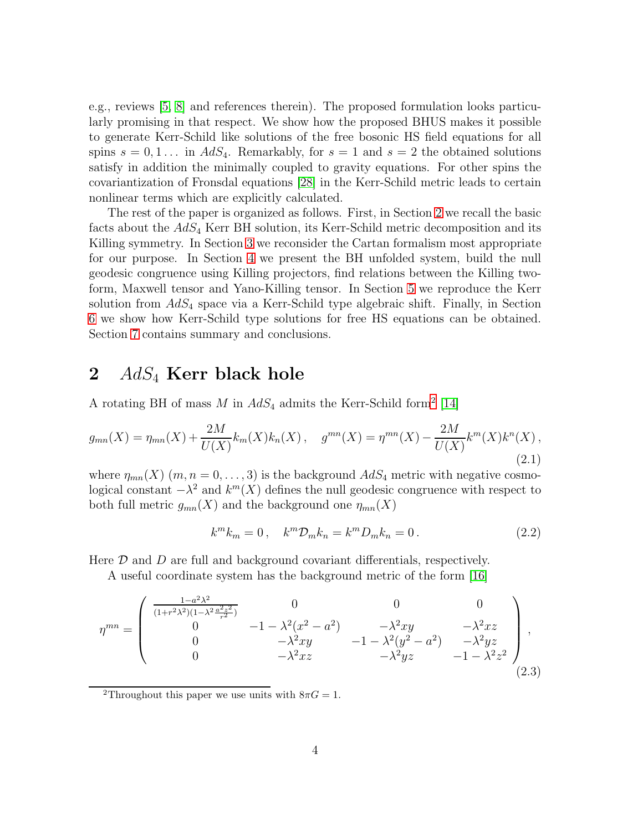e.g., reviews [\[5,](#page-15-3) [8\]](#page-15-6) and references therein). The proposed formulation looks particularly promising in that respect. We show how the proposed BHUS makes it possible to generate Kerr-Schild like solutions of the free bosonic HS field equations for all spins  $s = 0, 1...$  in  $AdS_4$ . Remarkably, for  $s = 1$  and  $s = 2$  the obtained solutions satisfy in addition the minimally coupled to gravity equations. For other spins the covariantization of Fronsdal equations [\[28\]](#page-16-13) in the Kerr-Schild metric leads to certain nonlinear terms which are explicitly calculated.

The rest of the paper is organized as follows. First, in Section [2](#page-3-0) we recall the basic facts about the  $AdS_4$  Kerr BH solution, its Kerr-Schild metric decomposition and its Killing symmetry. In Section [3](#page-5-0) we reconsider the Cartan formalism most appropriate for our purpose. In Section [4](#page-6-0) we present the BH unfolded system, build the null geodesic congruence using Killing projectors, find relations between the Killing twoform, Maxwell tensor and Yano-Killing tensor. In Section [5](#page-10-0) we reproduce the Kerr solution from  $AdS_4$  space via a Kerr-Schild type algebraic shift. Finally, in Section [6](#page-13-0) we show how Kerr-Schild type solutions for free HS equations can be obtained. Section [7](#page-14-0) contains summary and conclusions.

### <span id="page-3-0"></span>2  $AdS_4$  Kerr black hole

A rotating BH of mass  $M$  in  $AdS_4$  admits the Kerr-Schild form<sup>[2](#page-3-1)</sup> [\[14\]](#page-15-13)

<span id="page-3-2"></span>
$$
g_{mn}(X) = \eta_{mn}(X) + \frac{2M}{U(X)} k_m(X) k_n(X), \quad g^{mn}(X) = \eta^{mn}(X) - \frac{2M}{U(X)} k^m(X) k^n(X), \tag{2.1}
$$

where  $\eta_{mn}(X)$   $(m, n = 0, \ldots, 3)$  is the background  $AdS_4$  metric with negative cosmological constant  $-\lambda^2$  and  $k^m(X)$  defines the null geodesic congruence with respect to both full metric  $g_{mn}(X)$  and the background one  $\eta_{mn}(X)$ 

$$
k^{m}k_{m}=0, \quad k^{m}\mathcal{D}_{m}k_{n}=k^{m}D_{m}k_{n}=0.
$$
\n
$$
(2.2)
$$

Here  $\mathcal D$  and  $D$  are full and background covariant differentials, respectively.

A useful coordinate system has the background metric of the form [\[16\]](#page-16-1)

$$
\eta^{mn} = \begin{pmatrix} \frac{1 - a^2 \lambda^2}{(1 + r^2 \lambda^2)(1 - \lambda^2 \frac{a^2 z^2}{r^2})} & 0 & 0 & 0\\ 0 & -1 - \lambda^2 (x^2 - a^2) & -\lambda^2 xy & -\lambda^2 xz\\ 0 & -\lambda^2 xy & -1 - \lambda^2 (y^2 - a^2) & -\lambda^2 yz\\ 0 & -\lambda^2 xz & -\lambda^2 yz & -1 - \lambda^2 z^2 \end{pmatrix},
$$
\n(2.3)

<span id="page-3-1"></span><sup>2</sup>Throughout this paper we use units with  $8\pi G = 1$ .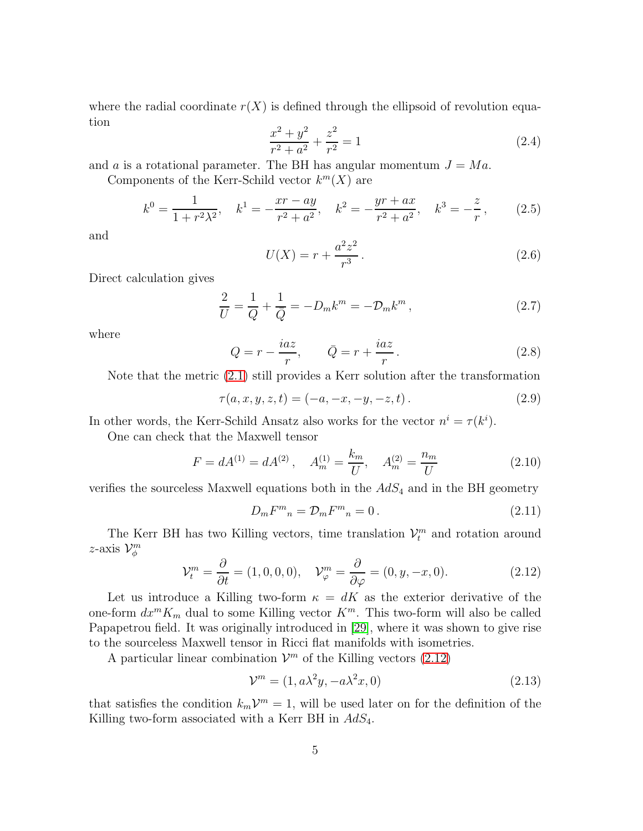where the radial coordinate  $r(X)$  is defined through the ellipsoid of revolution equation

$$
\frac{x^2 + y^2}{r^2 + a^2} + \frac{z^2}{r^2} = 1\tag{2.4}
$$

and a is a rotational parameter. The BH has angular momentum  $J = Ma$ .

Components of the Kerr-Schild vector  $k^{m}(X)$  are

<span id="page-4-4"></span>
$$
k^{0} = \frac{1}{1 + r^{2} \lambda^{2}}, \quad k^{1} = -\frac{xr - ay}{r^{2} + a^{2}}, \quad k^{2} = -\frac{yr + ax}{r^{2} + a^{2}}, \quad k^{3} = -\frac{z}{r}, \quad (2.5)
$$

and

$$
U(X) = r + \frac{a^2 z^2}{r^3}.
$$
\n(2.6)

Direct calculation gives

$$
\frac{2}{U} = \frac{1}{Q} + \frac{1}{\bar{Q}} = -D_m k^m = -\mathcal{D}_m k^m , \qquad (2.7)
$$

where

<span id="page-4-2"></span>
$$
Q = r - \frac{iaz}{r}, \qquad \bar{Q} = r + \frac{iaz}{r}.
$$
\n
$$
(2.8)
$$

Note that the metric [\(2.1\)](#page-3-2) still provides a Kerr solution after the transformation

<span id="page-4-1"></span>
$$
\tau(a, x, y, z, t) = (-a, -x, -y, -z, t).
$$
 (2.9)

In other words, the Kerr-Schild Ansatz also works for the vector  $n^i = \tau(k^i)$ .

One can check that the Maxwell tensor

$$
F = dA^{(1)} = dA^{(2)}, \quad A_m^{(1)} = \frac{k_m}{U}, \quad A_m^{(2)} = \frac{n_m}{U}
$$
 (2.10)

verifies the sourceless Maxwell equations both in the  $AdS<sub>4</sub>$  and in the BH geometry

$$
D_m F^m{}_n = \mathcal{D}_m F^m{}_n = 0. \tag{2.11}
$$

The Kerr BH has two Killing vectors, time translation  $\mathcal{V}_t^m$  and rotation around z-axis  $\mathcal{V}_{\phi}^m$ 

<span id="page-4-0"></span>
$$
\mathcal{V}_t^m = \frac{\partial}{\partial t} = (1, 0, 0, 0), \quad \mathcal{V}_\varphi^m = \frac{\partial}{\partial \varphi} = (0, y, -x, 0). \tag{2.12}
$$

Let us introduce a Killing two-form  $\kappa = dK$  as the exterior derivative of the one-form  $dx^m K_m$  dual to some Killing vector  $K^m$ . This two-form will also be called Papapetrou field. It was originally introduced in [\[29\]](#page-16-14), where it was shown to give rise to the sourceless Maxwell tensor in Ricci flat manifolds with isometries.

A particular linear combination  $\mathcal{V}^m$  of the Killing vectors [\(2.12\)](#page-4-0)

<span id="page-4-3"></span>
$$
\mathcal{V}^m = (1, a\lambda^2 y, -a\lambda^2 x, 0) \tag{2.13}
$$

that satisfies the condition  $k_m V^m = 1$ , will be used later on for the definition of the Killing two-form associated with a Kerr BH in  $AdS_4$ .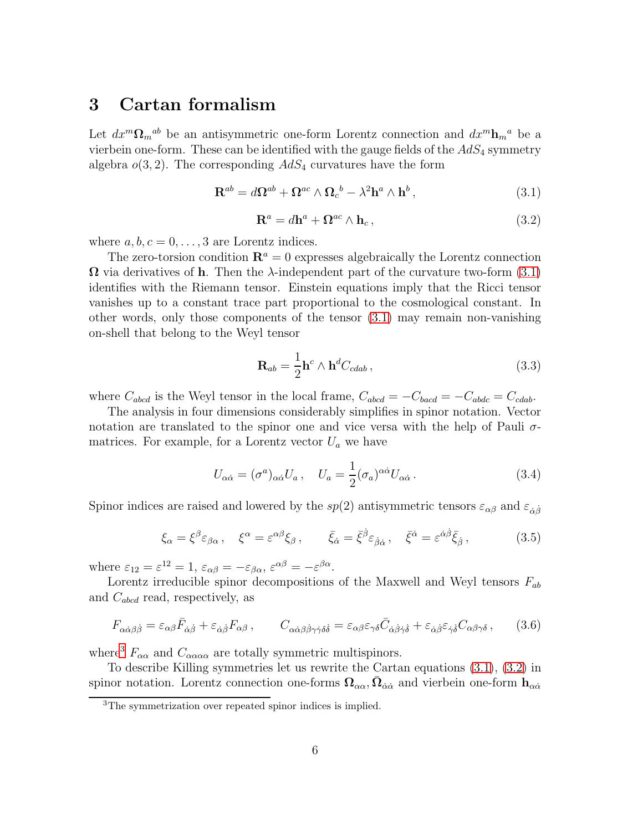## <span id="page-5-0"></span>3 Cartan formalism

Let  $dx^m \Omega_m{}^{ab}$  be an antisymmetric one-form Lorentz connection and  $dx^m \mathbf{h}_m{}^a$  be a vierbein one-form. These can be identified with the gauge fields of the  $AdS_4$  symmetry algebra  $o(3, 2)$ . The corresponding  $AdS_4$  curvatures have the form

<span id="page-5-1"></span>
$$
\mathbf{R}^{ab} = d\Omega^{ab} + \Omega^{ac} \wedge \Omega_c^b - \lambda^2 \mathbf{h}^a \wedge \mathbf{h}^b, \qquad (3.1)
$$

<span id="page-5-3"></span>
$$
\mathbf{R}^a = d\mathbf{h}^a + \mathbf{\Omega}^{ac} \wedge \mathbf{h}_c, \qquad (3.2)
$$

where  $a, b, c = 0, \ldots, 3$  are Lorentz indices.

The zero-torsion condition  $\mathbf{R}^a = 0$  expresses algebraically the Lorentz connection  $\Omega$  via derivatives of **h**. Then the  $\lambda$ -independent part of the curvature two-form [\(3.1\)](#page-5-1) identifies with the Riemann tensor. Einstein equations imply that the Ricci tensor vanishes up to a constant trace part proportional to the cosmological constant. In other words, only those components of the tensor [\(3.1\)](#page-5-1) may remain non-vanishing on-shell that belong to the Weyl tensor

$$
\mathbf{R}_{ab} = \frac{1}{2} \mathbf{h}^c \wedge \mathbf{h}^d C_{cdab} \,, \tag{3.3}
$$

where  $C_{abcd}$  is the Weyl tensor in the local frame,  $C_{abcd} = -C_{bac} = -C_{abdc} = C_{cdab}$ .

The analysis in four dimensions considerably simplifies in spinor notation. Vector notation are translated to the spinor one and vice versa with the help of Pauli  $\sigma$ matrices. For example, for a Lorentz vector  $U_a$  we have

$$
U_{\alpha\dot{\alpha}} = (\sigma^a)_{\alpha\dot{\alpha}} U_a \,, \quad U_a = \frac{1}{2} (\sigma_a)^{\alpha\dot{\alpha}} U_{\alpha\dot{\alpha}} \,. \tag{3.4}
$$

Spinor indices are raised and lowered by the sp(2) antisymmetric tensors  $\varepsilon_{\alpha\beta}$  and  $\varepsilon_{\dot{\alpha}\dot{\beta}}$ 

$$
\xi_{\alpha} = \xi^{\beta} \varepsilon_{\beta \alpha} , \quad \xi^{\alpha} = \varepsilon^{\alpha \beta} \xi_{\beta} , \qquad \bar{\xi}_{\dot{\alpha}} = \bar{\xi}^{\dot{\beta}} \varepsilon_{\dot{\beta} \dot{\alpha}} , \quad \bar{\xi}^{\dot{\alpha}} = \varepsilon^{\dot{\alpha} \dot{\beta}} \bar{\xi}_{\dot{\beta}} , \tag{3.5}
$$

where  $\varepsilon_{12} = \varepsilon^{12} = 1$ ,  $\varepsilon_{\alpha\beta} = -\varepsilon_{\beta\alpha}$ ,  $\varepsilon^{\alpha\beta} = -\varepsilon^{\beta\alpha}$ .

Lorentz irreducible spinor decompositions of the Maxwell and Weyl tensors  $F_{ab}$ and  $C_{abcd}$  read, respectively, as

$$
F_{\alpha\dot{\alpha}\beta\dot{\beta}} = \varepsilon_{\alpha\beta}\bar{F}_{\dot{\alpha}\dot{\beta}} + \varepsilon_{\dot{\alpha}\dot{\beta}}F_{\alpha\beta}, \qquad C_{\alpha\dot{\alpha}\beta\dot{\beta}\gamma\dot{\gamma}\delta\dot{\delta}} = \varepsilon_{\alpha\beta}\varepsilon_{\gamma\delta}\bar{C}_{\dot{\alpha}\dot{\beta}\dot{\gamma}\dot{\delta}} + \varepsilon_{\dot{\alpha}\dot{\beta}}\varepsilon_{\dot{\gamma}\dot{\delta}}C_{\alpha\beta\gamma\delta}, \qquad (3.6)
$$

where<sup>[3](#page-5-2)</sup>  $F_{\alpha\alpha}$  and  $C_{\alpha\alpha\alpha\alpha}$  are totally symmetric multispinors.

To describe Killing symmetries let us rewrite the Cartan equations [\(3.1\)](#page-5-1), [\(3.2\)](#page-5-3) in spinor notation. Lorentz connection one-forms  $\Omega_{\alpha\alpha}$ ,  $\bar{\Omega}_{\dot{\alpha}\dot{\alpha}}$  and vierbein one-form  $h_{\alpha\dot{\alpha}}$ 

<span id="page-5-2"></span><sup>3</sup>The symmetrization over repeated spinor indices is implied.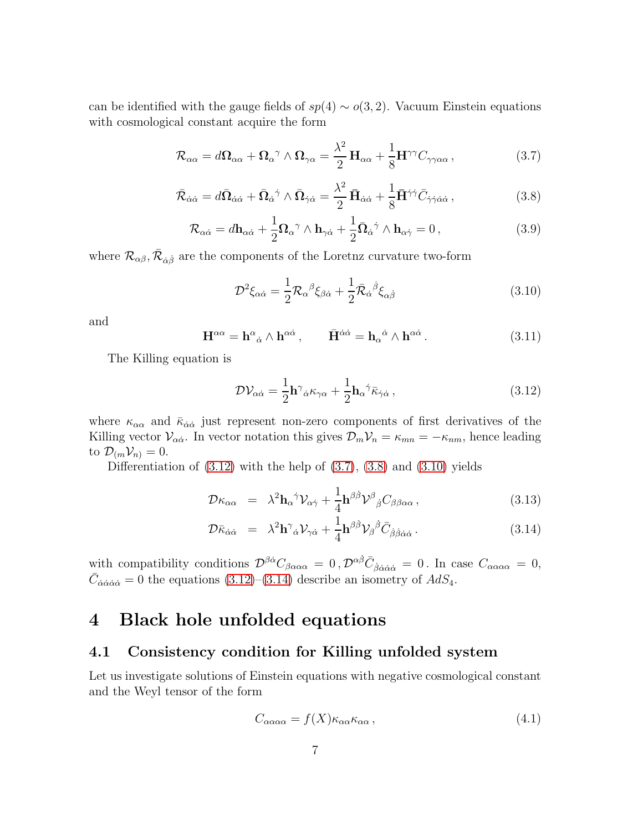can be identified with the gauge fields of  $sp(4) \sim o(3, 2)$ . Vacuum Einstein equations with cosmological constant acquire the form

<span id="page-6-2"></span>
$$
\mathcal{R}_{\alpha\alpha} = d\Omega_{\alpha\alpha} + \Omega_{\alpha}{}^{\gamma} \wedge \Omega_{\gamma\alpha} = \frac{\lambda^2}{2} H_{\alpha\alpha} + \frac{1}{8} H^{\gamma\gamma} C_{\gamma\gamma\alpha\alpha} , \qquad (3.7)
$$

<span id="page-6-3"></span>
$$
\bar{\mathcal{R}}_{\dot{\alpha}\dot{\alpha}} = d\bar{\Omega}_{\dot{\alpha}\dot{\alpha}} + \bar{\Omega}_{\dot{\alpha}}{}^{\dot{\gamma}} \wedge \bar{\Omega}_{\dot{\gamma}\dot{\alpha}} = \frac{\lambda^2}{2} \bar{\mathbf{H}}_{\dot{\alpha}\dot{\alpha}} + \frac{1}{8} \bar{\mathbf{H}}^{\dot{\gamma}\dot{\gamma}} \bar{C}_{\dot{\gamma}\dot{\gamma}\dot{\alpha}\dot{\alpha}} ,\tag{3.8}
$$

$$
\mathcal{R}_{\alpha\dot{\alpha}} = d\mathbf{h}_{\alpha\dot{\alpha}} + \frac{1}{2} \mathbf{\Omega}_{\alpha}{}^{\gamma} \wedge \mathbf{h}_{\gamma\dot{\alpha}} + \frac{1}{2} \bar{\mathbf{\Omega}}_{\dot{\alpha}}{}^{\dot{\gamma}} \wedge \mathbf{h}_{\alpha\dot{\gamma}} = 0, \qquad (3.9)
$$

where  $\mathcal{R}_{\alpha\beta}, \bar{\mathcal{R}}_{\dot{\alpha}\dot{\beta}}$  are the components of the Loretnz curvature two-form

<span id="page-6-4"></span>
$$
\mathcal{D}^2 \xi_{\alpha \dot{\alpha}} = \frac{1}{2} \mathcal{R}_{\alpha}{}^{\beta} \xi_{\beta \dot{\alpha}} + \frac{1}{2} \bar{\mathcal{R}}_{\dot{\alpha}}{}^{\dot{\beta}} \xi_{\alpha \dot{\beta}} \tag{3.10}
$$

and

<span id="page-6-7"></span>
$$
\mathbf{H}^{\alpha\alpha} = \mathbf{h}^{\alpha}{}_{\dot{\alpha}} \wedge \mathbf{h}^{\alpha\dot{\alpha}} \,, \qquad \bar{\mathbf{H}}^{\dot{\alpha}\dot{\alpha}} = \mathbf{h}_{\alpha}{}^{\dot{\alpha}} \wedge \mathbf{h}^{\alpha\dot{\alpha}} \,. \tag{3.11}
$$

The Killing equation is

<span id="page-6-1"></span>
$$
\mathcal{D}\mathcal{V}_{\alpha\dot{\alpha}} = \frac{1}{2}\mathbf{h}^{\gamma}{}_{\dot{\alpha}}\kappa_{\gamma\alpha} + \frac{1}{2}\mathbf{h}_{\alpha}{}^{\dot{\gamma}}\bar{\kappa}_{\dot{\gamma}\dot{\alpha}}\,,\tag{3.12}
$$

where  $\kappa_{\alpha\alpha}$  and  $\bar{\kappa}_{\dot{\alpha}\dot{\alpha}}$  just represent non-zero components of first derivatives of the Killing vector  $\mathcal{V}_{\alpha\dot{\alpha}}$ . In vector notation this gives  $\mathcal{D}_m \mathcal{V}_n = \kappa_{mn} = -\kappa_{nm}$ , hence leading to  $\mathcal{D}_{m}\mathcal{V}_{n} = 0$ .

Differentiation of  $(3.12)$  with the help of  $(3.7)$ ,  $(3.8)$  and  $(3.10)$  yields

<span id="page-6-5"></span>
$$
\mathcal{D}\kappa_{\alpha\alpha} = \lambda^2 \mathbf{h}_{\alpha}{}^{\dot{\gamma}} \mathcal{V}_{\alpha\dot{\gamma}} + \frac{1}{4} \mathbf{h}^{\beta\dot{\beta}} \mathcal{V}^{\beta}{}_{\dot{\beta}} C_{\beta\beta\alpha\alpha} , \qquad (3.13)
$$

$$
\mathcal{D}\bar{\kappa}_{\dot{\alpha}\dot{\alpha}} = \lambda^2 \mathbf{h}^{\gamma}{}_{\dot{\alpha}} \mathcal{V}_{\gamma\dot{\alpha}} + \frac{1}{4} \mathbf{h}^{\beta\dot{\beta}} \mathcal{V}_{\beta}{}^{\dot{\beta}} \bar{C}_{\dot{\beta}\dot{\beta}\dot{\alpha}\dot{\alpha}} \,. \tag{3.14}
$$

with compatibility conditions  $\mathcal{D}^{\beta\dot{\alpha}}C_{\beta\alpha\alpha\alpha} = 0$ ,  $\mathcal{D}^{\alpha\dot{\beta}}\bar{C}_{\dot{\beta}\dot{\alpha}\dot{\alpha}\dot{\alpha}} = 0$ . In case  $C_{\alpha\alpha\alpha\alpha} = 0$ ,  $\bar{C}_{\dot{\alpha}\dot{\alpha}\dot{\alpha}\dot{\alpha}} = 0$  the equations [\(3.12\)](#page-6-1)–[\(3.14\)](#page-6-5) describe an isometry of  $AdS_4$ .

### <span id="page-6-0"></span>4 Black hole unfolded equations

### 4.1 Consistency condition for Killing unfolded system

Let us investigate solutions of Einstein equations with negative cosmological constant and the Weyl tensor of the form

<span id="page-6-6"></span>
$$
C_{\alpha\alpha\alpha\alpha} = f(X)\kappa_{\alpha\alpha}\kappa_{\alpha\alpha},\tag{4.1}
$$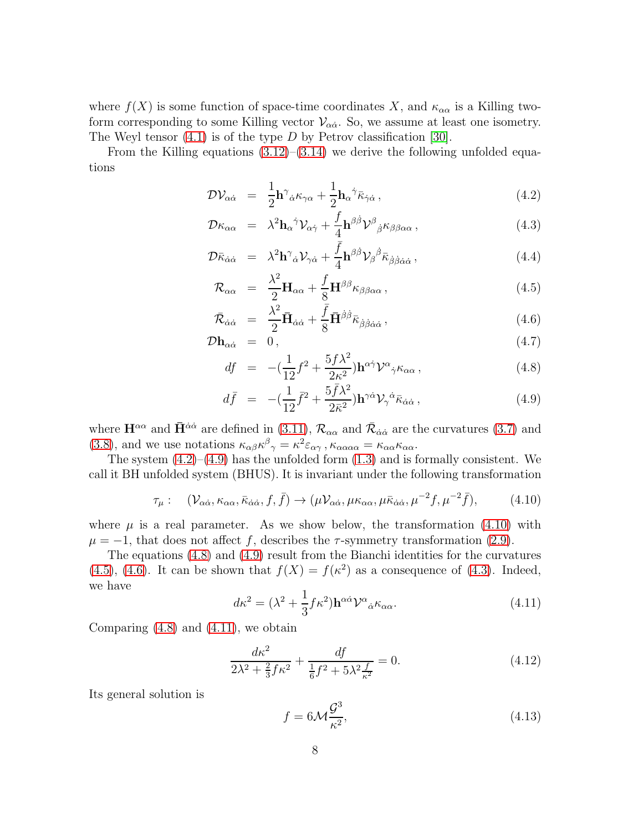where  $f(X)$  is some function of space-time coordinates X, and  $\kappa_{\alpha\alpha}$  is a Killing twoform corresponding to some Killing vector  $V_{\alpha\dot{\alpha}}$ . So, we assume at least one isometry. The Weyl tensor  $(4.1)$  is of the type D by Petrov classification [\[30\]](#page-16-15).

From the Killing equations  $(3.12)$ – $(3.14)$  we derive the following unfolded equations

<span id="page-7-0"></span>
$$
\mathcal{D}\mathcal{V}_{\alpha\dot{\alpha}} = \frac{1}{2}\mathbf{h}^{\gamma}{}_{\dot{\alpha}}\kappa_{\gamma\alpha} + \frac{1}{2}\mathbf{h}_{\alpha}{}^{\dot{\gamma}}\bar{\kappa}_{\dot{\gamma}\dot{\alpha}}\,,\tag{4.2}
$$

$$
\mathcal{D}\kappa_{\alpha\alpha} = \lambda^2 \mathbf{h}_{\alpha}{}^{\dot{\gamma}} \mathcal{V}_{\alpha\dot{\gamma}} + \frac{f}{4} \mathbf{h}^{\beta\dot{\beta}} \mathcal{V}^{\beta}{}_{\dot{\beta}} \kappa_{\beta\beta\alpha\alpha} , \qquad (4.3)
$$

$$
\mathcal{D}\bar{\kappa}_{\dot{\alpha}\dot{\alpha}} = \lambda^2 \mathbf{h}^{\gamma}_{\dot{\alpha}} \mathcal{V}_{\gamma\dot{\alpha}} + \frac{\bar{f}}{4} \mathbf{h}^{\beta\dot{\beta}} \mathcal{V}_{\beta}{}^{\dot{\beta}} \bar{\kappa}_{\dot{\beta}\dot{\beta}\dot{\alpha}\dot{\alpha}}, \tag{4.4}
$$

$$
\mathcal{R}_{\alpha\alpha} = \frac{\lambda^2}{2} \mathbf{H}_{\alpha\alpha} + \frac{f}{8} \mathbf{H}^{\beta\beta} \kappa_{\beta\beta\alpha\alpha} , \qquad (4.5)
$$

$$
\bar{\mathcal{R}}_{\dot{\alpha}\dot{\alpha}} = \frac{\lambda^2}{2} \bar{\mathbf{H}}_{\dot{\alpha}\dot{\alpha}} + \frac{\bar{f}}{8} \bar{\mathbf{H}}^{\dot{\beta}\dot{\beta}} \bar{\kappa}_{\dot{\beta}\dot{\beta}\dot{\alpha}\dot{\alpha}}, \qquad (4.6)
$$

$$
\mathcal{D}\mathbf{h}_{\alpha\dot{\alpha}} = 0, \tag{4.7}
$$

$$
df = -\left(\frac{1}{12}f^2 + \frac{5f\lambda^2}{2\kappa^2}\right) \mathbf{h}^{\alpha\dot{\gamma}} \mathcal{V}^{\alpha}{}_{\dot{\gamma}} \kappa_{\alpha\alpha} ,\qquad (4.8)
$$

$$
d\bar{f} = -(\frac{1}{12}\bar{f}^2 + \frac{5\bar{f}\lambda^2}{2\bar{\kappa}^2})\mathbf{h}^{\gamma\dot{\alpha}}\mathcal{V}_{\gamma}{}^{\dot{\alpha}}\bar{\kappa}_{\dot{\alpha}\dot{\alpha}}\,,\tag{4.9}
$$

where  $\mathbf{H}^{\alpha\alpha}$  and  $\bar{\mathbf{H}}^{\dot{\alpha}\dot{\alpha}}$  are defined in [\(3.11\)](#page-6-7),  $\mathcal{R}_{\alpha\alpha}$  and  $\bar{\mathcal{R}}_{\dot{\alpha}\dot{\alpha}}$  are the curvatures [\(3.7\)](#page-6-2) and [\(3.8\)](#page-6-3), and we use notations  $\kappa_{\alpha\beta}\kappa^{\beta}{}_{\gamma} = \kappa^2 \varepsilon_{\alpha\gamma}$ ,  $\kappa_{\alpha\alpha\alpha\alpha} = \kappa_{\alpha\alpha}\kappa_{\alpha\alpha}$ .

The system  $(4.2)$ – $(4.9)$  has the unfolded form  $(1.3)$  and is formally consistent. We call it BH unfolded system (BHUS). It is invariant under the following transformation

<span id="page-7-1"></span>
$$
\tau_{\mu}: (\mathcal{V}_{\alpha\dot{\alpha}}, \kappa_{\alpha\alpha}, \bar{\kappa}_{\dot{\alpha}\dot{\alpha}}, f, \bar{f}) \to (\mu \mathcal{V}_{\alpha\dot{\alpha}}, \mu \kappa_{\alpha\alpha}, \mu \bar{\kappa}_{\dot{\alpha}\dot{\alpha}}, \mu^{-2} f, \mu^{-2} \bar{f}), \tag{4.10}
$$

where  $\mu$  is a real parameter. As we show below, the transformation [\(4.10\)](#page-7-1) with  $\mu = -1$ , that does not affect f, describes the  $\tau$ -symmetry transformation [\(2.9\)](#page-4-1).

The equations [\(4.8\)](#page-7-0) and [\(4.9\)](#page-7-0) result from the Bianchi identities for the curvatures [\(4.5\)](#page-7-0), [\(4.6\)](#page-7-0). It can be shown that  $f(X) = f(\kappa^2)$  as a consequence of [\(4.3\)](#page-7-0). Indeed, we have

<span id="page-7-2"></span>
$$
d\kappa^2 = (\lambda^2 + \frac{1}{3}f\kappa^2)\mathbf{h}^{\alpha\dot{\alpha}}\mathcal{V}^{\alpha}{}_{\dot{\alpha}}\kappa_{\alpha\alpha}.\tag{4.11}
$$

Comparing  $(4.8)$  and  $(4.11)$ , we obtain

$$
\frac{d\kappa^2}{2\lambda^2 + \frac{2}{3}f\kappa^2} + \frac{df}{\frac{1}{6}f^2 + 5\lambda^2 \frac{f}{\kappa^2}} = 0.
$$
 (4.12)

Its general solution is

<span id="page-7-3"></span>
$$
f = 6\mathcal{M}\frac{\mathcal{G}^3}{\kappa^2},\tag{4.13}
$$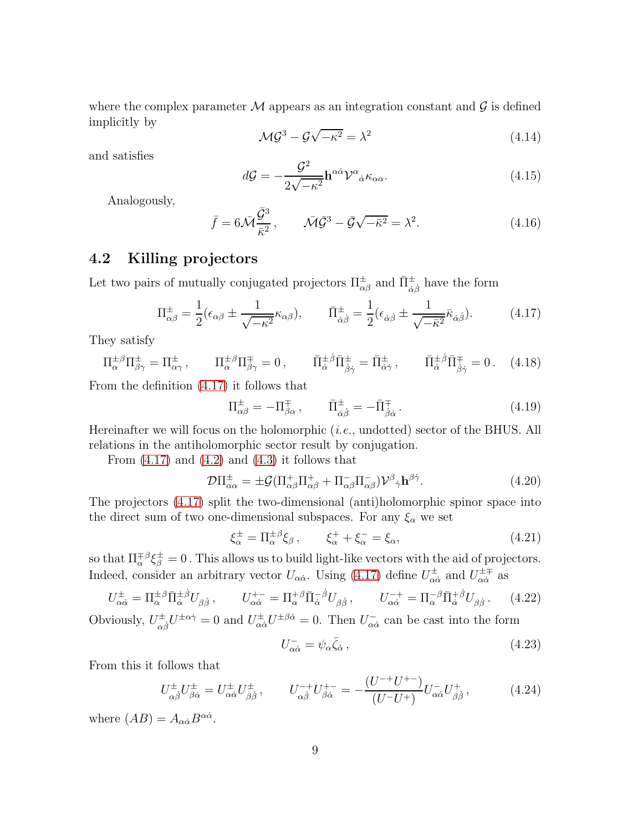where the complex parameter  $M$  appears as an integration constant and  $\mathcal G$  is defined implicitly by

<span id="page-8-2"></span>
$$
\mathcal{MG}^3 - \mathcal{G}\sqrt{-\kappa^2} = \lambda^2 \tag{4.14}
$$

and satisfies

<span id="page-8-1"></span>
$$
d\mathcal{G} = -\frac{\mathcal{G}^2}{2\sqrt{-\kappa^2}} \mathbf{h}^{\alpha\dot{\alpha}} \mathcal{V}^{\alpha}{}_{\dot{\alpha}} \kappa_{\alpha\alpha}.
$$
 (4.15)

Analogously,

$$
\bar{f} = 6\bar{\mathcal{M}}\frac{\bar{\mathcal{G}}^3}{\bar{\kappa}^2}, \qquad \bar{\mathcal{M}}\bar{\mathcal{G}}^3 - \bar{\mathcal{G}}\sqrt{-\bar{\kappa}^2} = \lambda^2. \tag{4.16}
$$

### 4.2 Killing projectors

Let two pairs of mutually conjugated projectors  $\Pi_{\alpha\beta}^{\pm}$  and  $\bar{\Pi}_{\dot{\alpha}\dot{\beta}}^{\pm}$  have the form

<span id="page-8-0"></span>
$$
\Pi_{\alpha\beta}^{\pm} = \frac{1}{2} (\epsilon_{\alpha\beta} \pm \frac{1}{\sqrt{-\kappa^2}} \kappa_{\alpha\beta}), \qquad \bar{\Pi}_{\dot{\alpha}\dot{\beta}}^{\pm} = \frac{1}{2} (\epsilon_{\dot{\alpha}\dot{\beta}} \pm \frac{1}{\sqrt{-\bar{\kappa}^2}} \bar{\kappa}_{\dot{\alpha}\dot{\beta}}). \tag{4.17}
$$

They satisfy

$$
\Pi^{\pm\beta}_{\alpha}\Pi^{\pm}_{\beta\gamma} = \Pi^{\pm}_{\alpha\gamma}, \qquad \Pi^{\pm\beta}_{\alpha}\Pi^{\mp}_{\beta\gamma} = 0, \qquad \bar{\Pi}^{\pm\beta}_{\dot{\alpha}}\bar{\Pi}^{\pm}_{\dot{\beta}\dot{\gamma}} = \bar{\Pi}^{\pm}_{\dot{\alpha}\dot{\gamma}}, \qquad \bar{\Pi}^{\pm\beta}_{\dot{\alpha}}\bar{\Pi}^{\mp}_{\dot{\beta}\dot{\gamma}} = 0. \tag{4.18}
$$

From the definition [\(4.17\)](#page-8-0) it follows that

$$
\Pi_{\alpha\beta}^{\pm} = -\Pi_{\beta\alpha}^{\mp} , \qquad \bar{\Pi}_{\dot{\alpha}\dot{\beta}}^{\pm} = -\bar{\Pi}_{\dot{\beta}\dot{\alpha}}^{\mp} . \qquad (4.19)
$$

Hereinafter we will focus on the holomorphic (*i.e.*, undotted) sector of the BHUS. All relations in the antiholomorphic sector result by conjugation.

From  $(4.17)$  and  $(4.2)$  and  $(4.3)$  it follows that

$$
\mathcal{D}\Pi_{\alpha\alpha}^{\pm} = \pm \mathcal{G}(\Pi_{\alpha\beta}^{+}\Pi_{\alpha\beta}^{+} + \Pi_{\alpha\beta}^{-}\Pi_{\alpha\beta}^{-})\mathcal{V}^{\beta}{}_{\dot{\gamma}}\mathbf{h}^{\beta\dot{\gamma}}.
$$
\n(4.20)

The projectors [\(4.17\)](#page-8-0) split the two-dimensional (anti)holomorphic spinor space into the direct sum of two one-dimensional subspaces. For any  $\xi_{\alpha}$  we set

$$
\xi_{\alpha}^{\pm} = \Pi_{\alpha}^{\pm \beta} \xi_{\beta} , \qquad \xi_{\alpha}^{+} + \xi_{\alpha}^{-} = \xi_{\alpha}, \qquad (4.21)
$$

so that  $\Pi^{\pm \beta}_\alpha \xi^\pm_\beta = 0$ . This allows us to build light-like vectors with the aid of projectors. Indeed, consider an arbitrary vector  $U_{\alpha\dot{\alpha}}$ . Using [\(4.17\)](#page-8-0) define  $U_{\alpha\dot{\alpha}}^{\pm}$  and  $U_{\alpha\dot{\alpha}}^{\pm\mp}$  as

$$
U_{\alpha\dot{\alpha}}^{\pm} = \Pi_{\alpha}^{\pm\beta} \bar{\Pi}_{\dot{\alpha}}^{\pm\dot{\beta}} U_{\beta\dot{\beta}}, \qquad U_{\alpha\dot{\alpha}}^{+-} = \Pi_{\alpha}^{+\beta} \bar{\Pi}_{\dot{\alpha}}^{-\dot{\beta}} U_{\beta\dot{\beta}}, \qquad U_{\alpha\dot{\alpha}}^{-+} = \Pi_{\alpha}^{-\beta} \bar{\Pi}_{\dot{\alpha}}^{+\dot{\beta}} U_{\beta\dot{\beta}}.
$$
 (4.22)

Obviously,  $U^{\pm}_{\alpha\dot{\beta}}U^{\pm\alpha\dot{\gamma}}=0$  and  $U^{\pm}_{\alpha\dot{\alpha}}U^{\pm\beta\dot{\alpha}}=0$ . Then  $U^{-}_{\alpha\dot{\alpha}}$  can be cast into the form

$$
U_{\alpha\dot{\alpha}}^{-} = \psi_{\alpha}\bar{\zeta}_{\dot{\alpha}}\,,\tag{4.23}
$$

From this it follows that

$$
U_{\alpha\dot{\beta}}^{\pm}U_{\beta\dot{\alpha}}^{\pm} = U_{\alpha\dot{\alpha}}^{\pm}U_{\beta\dot{\beta}}^{\pm}, \qquad U_{\alpha\dot{\beta}}^{-+}U_{\beta\dot{\alpha}}^{+-} = -\frac{(U^{-+}U^{+-})}{(U^{-}U^{+})}U_{\alpha\dot{\alpha}}^{-}U_{\beta\dot{\beta}}^{+}, \tag{4.24}
$$

where  $(AB) = A_{\alpha\dot{\alpha}}B^{\alpha\dot{\alpha}}$ .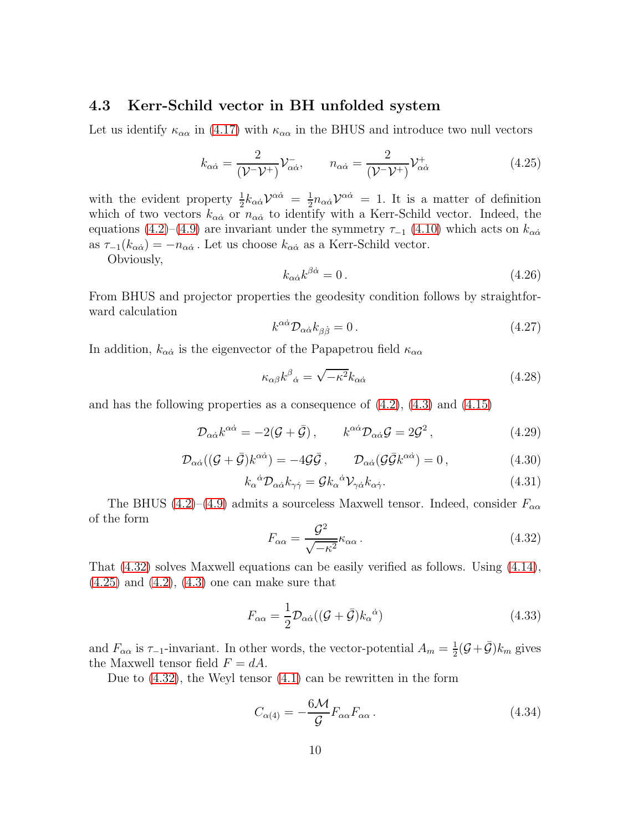#### 4.3 Kerr-Schild vector in BH unfolded system

Let us identify  $\kappa_{\alpha\alpha}$  in [\(4.17\)](#page-8-0) with  $\kappa_{\alpha\alpha}$  in the BHUS and introduce two null vectors

<span id="page-9-1"></span>
$$
k_{\alpha\dot{\alpha}} = \frac{2}{(\mathcal{V} - \mathcal{V}^+)} \mathcal{V}^-_{\alpha\dot{\alpha}}, \qquad n_{\alpha\dot{\alpha}} = \frac{2}{(\mathcal{V} - \mathcal{V}^+)} \mathcal{V}^+_{\alpha\dot{\alpha}}
$$
(4.25)

with the evident property  $\frac{1}{2}k_{\alpha\dot{\alpha}}\mathcal{V}^{\alpha\dot{\alpha}} = \frac{1}{2}$  $\frac{1}{2}n_{\alpha\dot{\alpha}}\mathcal{V}^{\dot{\alpha}\dot{\alpha}} = 1$ . It is a matter of definition which of two vectors  $k_{\alpha\dot{\alpha}}$  or  $n_{\alpha\dot{\alpha}}$  to identify with a Kerr-Schild vector. Indeed, the equations [\(4.2\)](#page-7-0)–[\(4.9\)](#page-7-0) are invariant under the symmetry  $\tau_{-1}$  [\(4.10\)](#page-7-1) which acts on  $k_{\alpha\dot{\alpha}}$ as  $\tau_{-1}(k_{\alpha\dot{\alpha}}) = -n_{\alpha\dot{\alpha}}$ . Let us choose  $k_{\alpha\dot{\alpha}}$  as a Kerr-Schild vector.

Obviously,

<span id="page-9-4"></span>
$$
k_{\alpha\dot{\alpha}}k^{\beta\dot{\alpha}} = 0. \tag{4.26}
$$

From BHUS and projector properties the geodesity condition follows by straightforward calculation

<span id="page-9-5"></span>
$$
k^{\alpha \dot{\alpha}} \mathcal{D}_{\alpha \dot{\alpha}} k_{\beta \dot{\beta}} = 0. \qquad (4.27)
$$

In addition,  $k_{\alpha\dot{\alpha}}$  is the eigenvector of the Papapetrou field  $\kappa_{\alpha\alpha}$ 

$$
\kappa_{\alpha\beta}k^{\beta}{}_{\dot{\alpha}} = \sqrt{-\kappa^2}k_{\alpha\dot{\alpha}}\tag{4.28}
$$

and has the following properties as a consequence of  $(4.2)$ ,  $(4.3)$  and  $(4.15)$ 

$$
\mathcal{D}_{\alpha\dot{\alpha}}k^{\alpha\dot{\alpha}} = -2(\mathcal{G} + \bar{\mathcal{G}}), \qquad k^{\alpha\dot{\alpha}}\mathcal{D}_{\alpha\dot{\alpha}}\mathcal{G} = 2\mathcal{G}^2, \qquad (4.29)
$$

$$
\mathcal{D}_{\alpha\dot{\alpha}}((\mathcal{G}+\bar{\mathcal{G}})k^{\alpha\dot{\alpha}}) = -4\mathcal{G}\bar{\mathcal{G}}, \qquad \mathcal{D}_{\alpha\dot{\alpha}}(\mathcal{G}\bar{\mathcal{G}}k^{\alpha\dot{\alpha}}) = 0, \qquad (4.30)
$$

$$
k_{\alpha}{}^{\dot{\alpha}} \mathcal{D}_{\alpha \dot{\alpha}} k_{\gamma \dot{\gamma}} = \mathcal{G} k_{\alpha}{}^{\dot{\alpha}} \mathcal{V}_{\gamma \dot{\alpha}} k_{\alpha \dot{\gamma}}.
$$
 (4.31)

The BHUS [\(4.2\)](#page-7-0)–[\(4.9\)](#page-7-0) admits a sourceless Maxwell tensor. Indeed, consider  $F_{\alpha\alpha}$ of the form

<span id="page-9-0"></span>
$$
F_{\alpha\alpha} = \frac{\mathcal{G}^2}{\sqrt{-\kappa^2}} \kappa_{\alpha\alpha} \,. \tag{4.32}
$$

That [\(4.32\)](#page-9-0) solves Maxwell equations can be easily verified as follows. Using [\(4.14\)](#page-8-2),  $(4.25)$  and  $(4.2)$ ,  $(4.3)$  one can make sure that

<span id="page-9-2"></span>
$$
F_{\alpha\alpha} = \frac{1}{2} \mathcal{D}_{\alpha\dot{\alpha}} ((\mathcal{G} + \bar{\mathcal{G}}) k_{\alpha}{}^{\dot{\alpha}})
$$
\n(4.33)

and  $F_{\alpha\alpha}$  is  $\tau_{-1}$ -invariant. In other words, the vector-potential  $A_m = \frac{1}{2}$  $\frac{1}{2}(\mathcal{G}+\bar{\mathcal{G}})k_m$  gives the Maxwell tensor field  $F = dA$ .

Due to [\(4.32\)](#page-9-0), the Weyl tensor [\(4.1\)](#page-6-6) can be rewritten in the form

<span id="page-9-3"></span>
$$
C_{\alpha(4)} = -\frac{6\mathcal{M}}{\mathcal{G}} F_{\alpha\alpha} F_{\alpha\alpha}.
$$
 (4.34)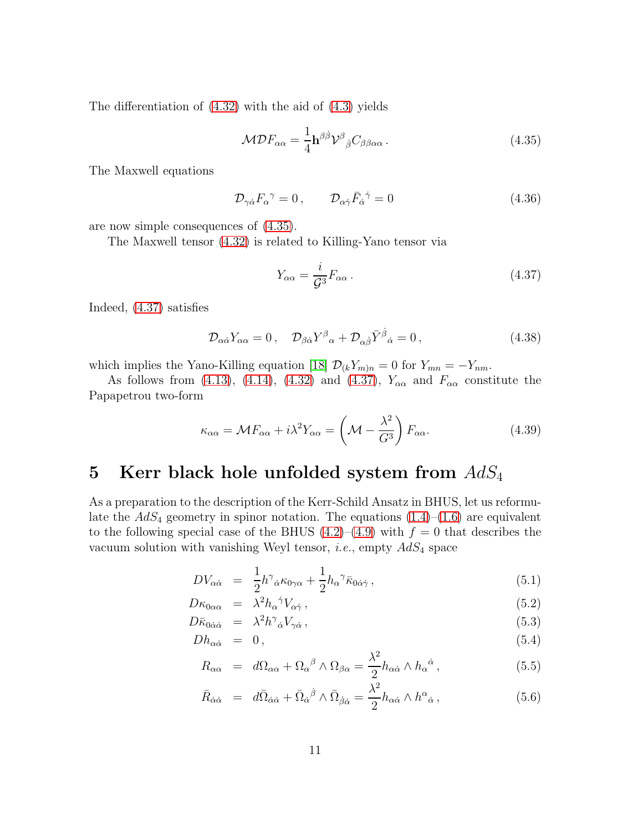The differentiation of [\(4.32\)](#page-9-0) with the aid of [\(4.3\)](#page-7-0) yields

<span id="page-10-1"></span>
$$
\mathcal{MDF}_{\alpha\alpha} = \frac{1}{4} \mathbf{h}^{\beta\dot{\beta}} \mathcal{V}^{\beta}{}_{\dot{\beta}} C_{\beta\beta\alpha\alpha} \,. \tag{4.35}
$$

The Maxwell equations

<span id="page-10-4"></span>
$$
\mathcal{D}_{\gamma\dot{\alpha}}F_{\alpha}^{\ \gamma} = 0, \qquad \mathcal{D}_{\alpha\dot{\gamma}}\bar{F}_{\dot{\alpha}}^{\ \dot{\gamma}} = 0 \tag{4.36}
$$

are now simple consequences of [\(4.35\)](#page-10-1).

The Maxwell tensor [\(4.32\)](#page-9-0) is related to Killing-Yano tensor via

<span id="page-10-2"></span>
$$
Y_{\alpha\alpha} = \frac{i}{\mathcal{G}^3} F_{\alpha\alpha} \,. \tag{4.37}
$$

Indeed, [\(4.37\)](#page-10-2) satisfies

$$
\mathcal{D}_{\alpha\dot{\alpha}}Y_{\alpha\alpha} = 0 \,, \quad \mathcal{D}_{\beta\dot{\alpha}}Y^{\beta}{}_{\alpha} + \mathcal{D}_{\alpha\dot{\beta}}\bar{Y}^{\dot{\beta}}{}_{\dot{\alpha}} = 0 \,, \tag{4.38}
$$

which implies the Yano-Killing equation [\[18\]](#page-16-3)  $\mathcal{D}_{(k}Y_{m)n} = 0$  for  $Y_{mn} = -Y_{nm}$ .

As follows from [\(4.13\)](#page-7-3), [\(4.14\)](#page-8-2), [\(4.32\)](#page-9-0) and [\(4.37\)](#page-10-2),  $Y_{\alpha\alpha}$  and  $F_{\alpha\alpha}$  constitute the Papapetrou two-form

$$
\kappa_{\alpha\alpha} = \mathcal{M}F_{\alpha\alpha} + i\lambda^2 Y_{\alpha\alpha} = \left(\mathcal{M} - \frac{\lambda^2}{G^3}\right) F_{\alpha\alpha}.
$$
 (4.39)

## <span id="page-10-0"></span>5 Kerr black hole unfolded system from  $AdS_4$

As a preparation to the description of the Kerr-Schild Ansatz in BHUS, let us reformulate the  $AdS_4$  geometry in spinor notation. The equations  $(1.4)$ – $(1.6)$  are equivalent to the following special case of the BHUS  $(4.2)$ – $(4.9)$  with  $f = 0$  that describes the vacuum solution with vanishing Weyl tensor, *i.e.*, empty AdS<sup>4</sup> space

<span id="page-10-3"></span>
$$
DV_{\alpha\dot{\alpha}} = \frac{1}{2}h^{\gamma}{}_{\dot{\alpha}}\kappa_{0\gamma\alpha} + \frac{1}{2}h_{\alpha}{}^{\gamma}\bar{\kappa}_{0\dot{\alpha}\dot{\gamma}}\,,\tag{5.1}
$$

$$
D\kappa_{0\alpha\alpha} = \lambda^2 h_\alpha{}^{\dot{\gamma}} V_{\alpha\dot{\gamma}}\,,\tag{5.2}
$$

$$
D\bar{\kappa}_{0\dot{\alpha}\dot{\alpha}} = \lambda^2 h^{\gamma}_{\dot{\alpha}} V_{\gamma\dot{\alpha}}, \qquad (5.3)
$$

$$
Dh_{\alpha\dot{\alpha}} = 0, \qquad (5.4)
$$

$$
R_{\alpha\alpha} = d\Omega_{\alpha\alpha} + \Omega_{\alpha}{}^{\beta} \wedge \Omega_{\beta\alpha} = \frac{\lambda^2}{2} h_{\alpha\dot{\alpha}} \wedge h_{\alpha}{}^{\dot{\alpha}}, \qquad (5.5)
$$

$$
\bar{R}_{\dot{\alpha}\dot{\alpha}} = d\bar{\Omega}_{\dot{\alpha}\dot{\alpha}} + \bar{\Omega}_{\dot{\alpha}}{}^{\dot{\beta}} \wedge \bar{\Omega}_{\dot{\beta}\dot{\alpha}} = \frac{\lambda^2}{2} h_{\alpha\dot{\alpha}} \wedge h^{\alpha}{}_{\dot{\alpha}} ,\qquad (5.6)
$$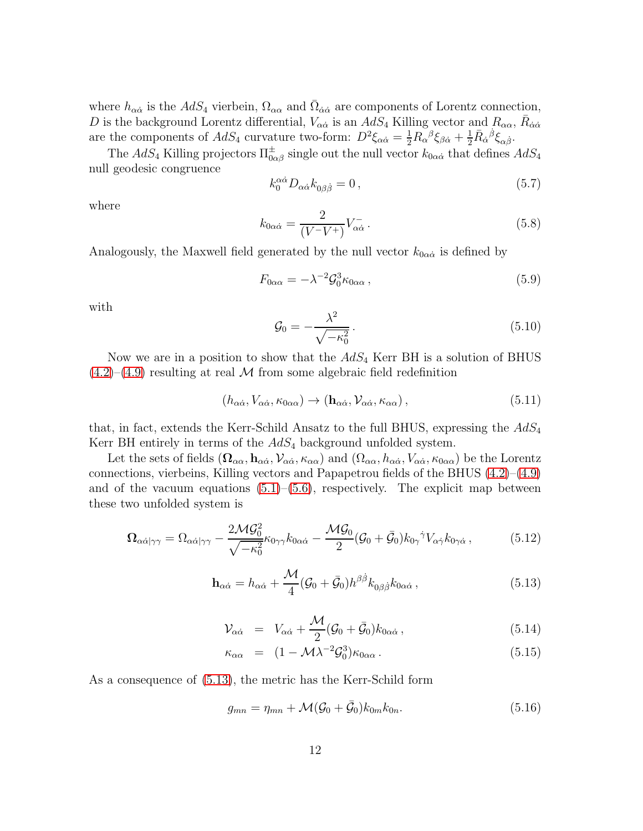where  $h_{\alpha\dot{\alpha}}$  is the  $AdS_4$  vierbein,  $\Omega_{\alpha\alpha}$  and  $\bar{\Omega}_{\dot{\alpha}\dot{\alpha}}$  are components of Lorentz connection, D is the background Lorentz differential,  $V_{\alpha\dot{\alpha}}$  is an  $AdS_4$  Killing vector and  $R_{\alpha\alpha}$ ,  $\bar{R}_{\dot{\alpha}\dot{\alpha}}$ are the components of  $AdS_4$  curvature two-form:  $D^2 \xi_{\alpha\dot{\alpha}} = \frac{1}{2} R_{\alpha\alpha}^{\ \beta} \xi_{\beta\dot{\alpha}} + \frac{1}{2} \bar{R}_{\dot{\alpha}}^{\dot{\beta}} \xi_{\alpha\dot{\beta}}$ .

The  $AdS_4$  Killing projectors  $\Pi_{0\alpha\beta}^{\pm}$  single out the null vector  $k_{0\alpha\dot{\alpha}}$  that defines  $AdS_4$ null geodesic congruence

$$
k_0^{\alpha\dot{\alpha}}D_{\alpha\dot{\alpha}}k_{0\beta\dot{\beta}} = 0, \qquad (5.7)
$$

where

<span id="page-11-1"></span>
$$
k_{0\alpha\dot{\alpha}} = \frac{2}{(V^-V^+)} V_{\alpha\dot{\alpha}}^-.
$$
\n(5.8)

Analogously, the Maxwell field generated by the null vector  $k_{0\alpha\dot{\alpha}}$  is defined by

$$
F_{0\alpha\alpha} = -\lambda^{-2} \mathcal{G}_0^3 \kappa_{0\alpha\alpha} \,, \tag{5.9}
$$

with

$$
\mathcal{G}_0 = -\frac{\lambda^2}{\sqrt{-\kappa_0^2}}.\tag{5.10}
$$

Now we are in a position to show that the  $AdS_4$  Kerr BH is a solution of BHUS  $(4.2)$ – $(4.9)$  resulting at real M from some algebraic field redefinition

<span id="page-11-4"></span>
$$
(h_{\alpha\dot{\alpha}}, V_{\alpha\dot{\alpha}}, \kappa_{0\alpha\alpha}) \rightarrow (\mathbf{h}_{\alpha\dot{\alpha}}, V_{\alpha\dot{\alpha}}, \kappa_{\alpha\alpha}), \qquad (5.11)
$$

that, in fact, extends the Kerr-Schild Ansatz to the full BHUS, expressing the  $AdS_4$ Kerr BH entirely in terms of the  $AdS_4$  background unfolded system.

Let the sets of fields  $(\Omega_{\alpha\alpha}, \mathbf{h}_{\alpha\dot{\alpha}}, \mathcal{V}_{\alpha\dot{\alpha}}, \kappa_{\alpha\alpha})$  and  $(\Omega_{\alpha\alpha}, \mathbf{h}_{\alpha\dot{\alpha}}, \mathcal{V}_{\alpha\dot{\alpha}}, \kappa_{0\alpha\alpha})$  be the Lorentz connections, vierbeins, Killing vectors and Papapetrou fields of the BHUS  $(4.2)$ – $(4.9)$ and of the vacuum equations  $(5.1)$ – $(5.6)$ , respectively. The explicit map between these two unfolded system is

<span id="page-11-2"></span>
$$
\Omega_{\alpha\dot{\alpha}|\gamma\gamma} = \Omega_{\alpha\dot{\alpha}|\gamma\gamma} - \frac{2\mathcal{MG}_0^2}{\sqrt{-\kappa_0^2}} \kappa_{0\gamma\gamma} k_{0\alpha\dot{\alpha}} - \frac{\mathcal{MG}_0}{2} (\mathcal{G}_0 + \bar{\mathcal{G}}_0) k_{0\gamma}^{\dot{\gamma}} V_{\alpha\dot{\gamma}} k_{0\gamma\dot{\alpha}} ,\tag{5.12}
$$

<span id="page-11-0"></span>
$$
\mathbf{h}_{\alpha\dot{\alpha}} = h_{\alpha\dot{\alpha}} + \frac{\mathcal{M}}{4} (\mathcal{G}_0 + \bar{\mathcal{G}}_0) h^{\beta\dot{\beta}} k_{0\beta\dot{\beta}} k_{0\alpha\dot{\alpha}}, \qquad (5.13)
$$

<span id="page-11-3"></span>
$$
\mathcal{V}_{\alpha\dot{\alpha}} = V_{\alpha\dot{\alpha}} + \frac{\mathcal{M}}{2} (\mathcal{G}_0 + \bar{\mathcal{G}}_0) k_{0\alpha\dot{\alpha}}, \qquad (5.14)
$$

$$
\kappa_{\alpha\alpha} = (1 - \mathcal{M}\lambda^{-2}\mathcal{G}_0^3)\kappa_{0\alpha\alpha}.
$$
\n(5.15)

As a consequence of [\(5.13\)](#page-11-0), the metric has the Kerr-Schild form

<span id="page-11-5"></span>
$$
g_{mn} = \eta_{mn} + \mathcal{M}(\mathcal{G}_0 + \bar{\mathcal{G}}_0)k_{0m}k_{0n}.
$$
\n
$$
(5.16)
$$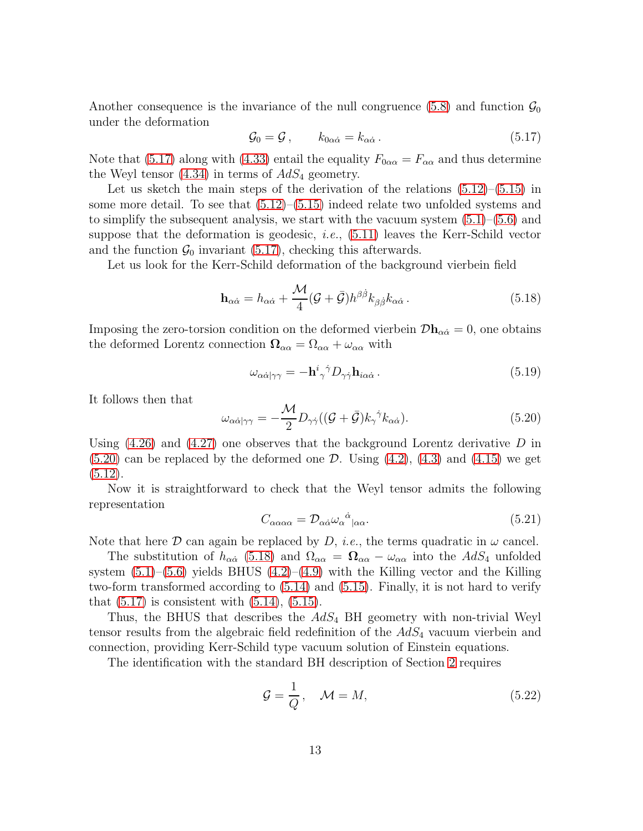Another consequence is the invariance of the null congruence [\(5.8\)](#page-11-1) and function  $\mathcal{G}_0$ under the deformation

<span id="page-12-0"></span>
$$
\mathcal{G}_0 = \mathcal{G}, \qquad k_{0\alpha\dot{\alpha}} = k_{\alpha\dot{\alpha}}.
$$
 (5.17)

Note that [\(5.17\)](#page-12-0) along with [\(4.33\)](#page-9-2) entail the equality  $F_{0\alpha\alpha} = F_{\alpha\alpha}$  and thus determine the Weyl tensor  $(4.34)$  in terms of  $AdS_4$  geometry.

Let us sketch the main steps of the derivation of the relations  $(5.12)$ – $(5.15)$  in some more detail. To see that [\(5.12\)](#page-11-2)–[\(5.15\)](#page-11-3) indeed relate two unfolded systems and to simplify the subsequent analysis, we start with the vacuum system  $(5.1)$ – $(5.6)$  and suppose that the deformation is geodesic, *i.e.*, [\(5.11\)](#page-11-4) leaves the Kerr-Schild vector and the function  $\mathcal{G}_0$  invariant [\(5.17\)](#page-12-0), checking this afterwards.

Let us look for the Kerr-Schild deformation of the background vierbein field

<span id="page-12-2"></span>
$$
\mathbf{h}_{\alpha\dot{\alpha}} = h_{\alpha\dot{\alpha}} + \frac{\mathcal{M}}{4} (\mathcal{G} + \bar{\mathcal{G}}) h^{\beta\dot{\beta}} k_{\beta\dot{\beta}} k_{\alpha\dot{\alpha}}.
$$
 (5.18)

Imposing the zero-torsion condition on the deformed vierbein  $\mathcal{D}\mathbf{h}_{\alpha\dot{\alpha}}=0$ , one obtains the deformed Lorentz connection  $\Omega_{\alpha\alpha} = \Omega_{\alpha\alpha} + \omega_{\alpha\alpha}$  with

$$
\omega_{\alpha\dot{\alpha}|\gamma\gamma} = -\mathbf{h}^i{}_{\gamma}{}^{\dot{\gamma}} D_{\gamma\dot{\gamma}} \mathbf{h}_{i\alpha\dot{\alpha}} \,. \tag{5.19}
$$

It follows then that

<span id="page-12-1"></span>
$$
\omega_{\alpha\dot{\alpha}|\gamma\gamma} = -\frac{\mathcal{M}}{2} D_{\gamma\dot{\gamma}} ((\mathcal{G} + \bar{\mathcal{G}}) k_{\gamma}^{\ \dot{\gamma}} k_{\alpha\dot{\alpha}}). \tag{5.20}
$$

Using  $(4.26)$  and  $(4.27)$  one observes that the background Lorentz derivative D in  $(5.20)$  can be replaced by the deformed one D. Using  $(4.2)$ ,  $(4.3)$  and  $(4.15)$  we get  $(5.12).$  $(5.12).$ 

Now it is straightforward to check that the Weyl tensor admits the following representation

$$
C_{\alpha\alpha\alpha\alpha} = \mathcal{D}_{\alpha\dot{\alpha}}\omega_{\alpha}{}^{\dot{\alpha}}|_{\alpha\alpha}.\tag{5.21}
$$

Note that here  $D$  can again be replaced by  $D$ , *i.e.*, the terms quadratic in  $\omega$  cancel.

The substitution of  $h_{\alpha\dot{\alpha}}$  [\(5.18\)](#page-12-2) and  $\Omega_{\alpha\alpha} = \Omega_{\alpha\alpha} - \omega_{\alpha\alpha}$  into the  $AdS_4$  unfolded system  $(5.1)$ – $(5.6)$  yields BHUS  $(4.2)$ – $(4.9)$  with the Killing vector and the Killing two-form transformed according to [\(5.14\)](#page-11-3) and [\(5.15\)](#page-11-3). Finally, it is not hard to verify that  $(5.17)$  is consistent with  $(5.14)$ ,  $(5.15)$ .

Thus, the BHUS that describes the  $AdS_4$  BH geometry with non-trivial Weyl tensor results from the algebraic field redefinition of the  $AdS<sub>4</sub>$  vacuum vierbein and connection, providing Kerr-Schild type vacuum solution of Einstein equations.

The identification with the standard BH description of Section [2](#page-3-0) requires

$$
\mathcal{G} = \frac{1}{Q}, \quad \mathcal{M} = M,\tag{5.22}
$$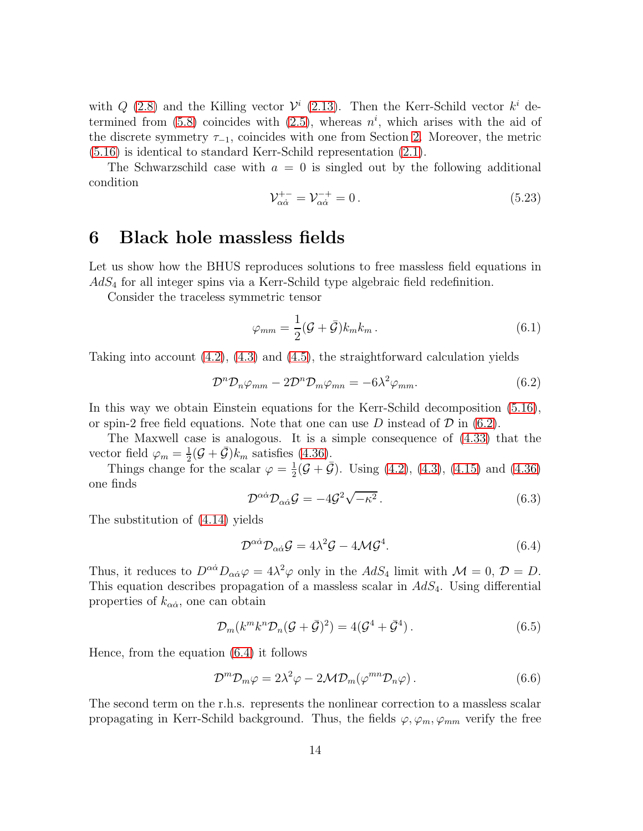with  $Q$  [\(2.8\)](#page-4-2) and the Killing vector  $\mathcal{V}^i$  [\(2.13\)](#page-4-3). Then the Kerr-Schild vector  $k^i$  determined from  $(5.8)$  coincides with  $(2.5)$ , whereas  $n^i$ , which arises with the aid of the discrete symmetry  $\tau_{-1}$ , coincides with one from Section [2.](#page-3-0) Moreover, the metric [\(5.16\)](#page-11-5) is identical to standard Kerr-Schild representation [\(2.1\)](#page-3-2).

The Schwarzschild case with  $a = 0$  is singled out by the following additional condition

$$
\mathcal{V}_{\alpha\dot{\alpha}}^{+-} = \mathcal{V}_{\alpha\dot{\alpha}}^{-+} = 0. \tag{5.23}
$$

### <span id="page-13-0"></span>6 Black hole massless fields

Let us show how the BHUS reproduces solutions to free massless field equations in  $AdS<sub>4</sub>$  for all integer spins via a Kerr-Schild type algebraic field redefinition.

Consider the traceless symmetric tensor

$$
\varphi_{mm} = \frac{1}{2} (\mathcal{G} + \bar{\mathcal{G}}) k_m k_m \,. \tag{6.1}
$$

Taking into account [\(4.2\)](#page-7-0), [\(4.3\)](#page-7-0) and [\(4.5\)](#page-7-0), the straightforward calculation yields

<span id="page-13-1"></span>
$$
\mathcal{D}^n \mathcal{D}_n \varphi_{mm} - 2 \mathcal{D}^n \mathcal{D}_m \varphi_{mn} = -6\lambda^2 \varphi_{mm}.
$$
 (6.2)

In this way we obtain Einstein equations for the Kerr-Schild decomposition [\(5.16\)](#page-11-5), or spin-2 free field equations. Note that one can use D instead of  $\mathcal D$  in [\(6.2\)](#page-13-1).

The Maxwell case is analogous. It is a simple consequence of [\(4.33\)](#page-9-2) that the vector field  $\varphi_m = \frac{1}{2}(\mathcal{G} + \bar{\mathcal{G}})k_m$  satisfies [\(4.36\)](#page-10-4).

Things change for the scalar  $\varphi = \frac{1}{2}$  $\frac{1}{2}(\mathcal{G} + \bar{\mathcal{G}})$ . Using [\(4.2\)](#page-7-0), [\(4.3\)](#page-7-0), [\(4.15\)](#page-8-1) and [\(4.36\)](#page-10-4) one finds

$$
\mathcal{D}^{\alpha\dot{\alpha}}\mathcal{D}_{\alpha\dot{\alpha}}\mathcal{G} = -4\mathcal{G}^2\sqrt{-\kappa^2}.
$$
 (6.3)

The substitution of [\(4.14\)](#page-8-2) yields

<span id="page-13-2"></span>
$$
\mathcal{D}^{\alpha\dot{\alpha}}\mathcal{D}_{\alpha\dot{\alpha}}\mathcal{G} = 4\lambda^2 \mathcal{G} - 4\mathcal{M}\mathcal{G}^4. \tag{6.4}
$$

Thus, it reduces to  $D^{\alpha\dot{\alpha}}D_{\alpha\dot{\alpha}}\varphi = 4\lambda^2\varphi$  only in the  $AdS_4$  limit with  $\mathcal{M} = 0$ ,  $\mathcal{D} = D$ . This equation describes propagation of a massless scalar in  $AdS<sub>4</sub>$ . Using differential properties of  $k_{\alpha\dot{\alpha}}$ , one can obtain

$$
\mathcal{D}_m(k^m k^n \mathcal{D}_n(\mathcal{G} + \bar{\mathcal{G}})^2) = 4(\mathcal{G}^4 + \bar{\mathcal{G}}^4).
$$
\n(6.5)

Hence, from the equation [\(6.4\)](#page-13-2) it follows

$$
\mathcal{D}^m \mathcal{D}_m \varphi = 2\lambda^2 \varphi - 2\mathcal{M} \mathcal{D}_m(\varphi^{mn} \mathcal{D}_n \varphi).
$$
 (6.6)

The second term on the r.h.s. represents the nonlinear correction to a massless scalar propagating in Kerr-Schild background. Thus, the fields  $\varphi$ ,  $\varphi_m$ ,  $\varphi_{mm}$  verify the free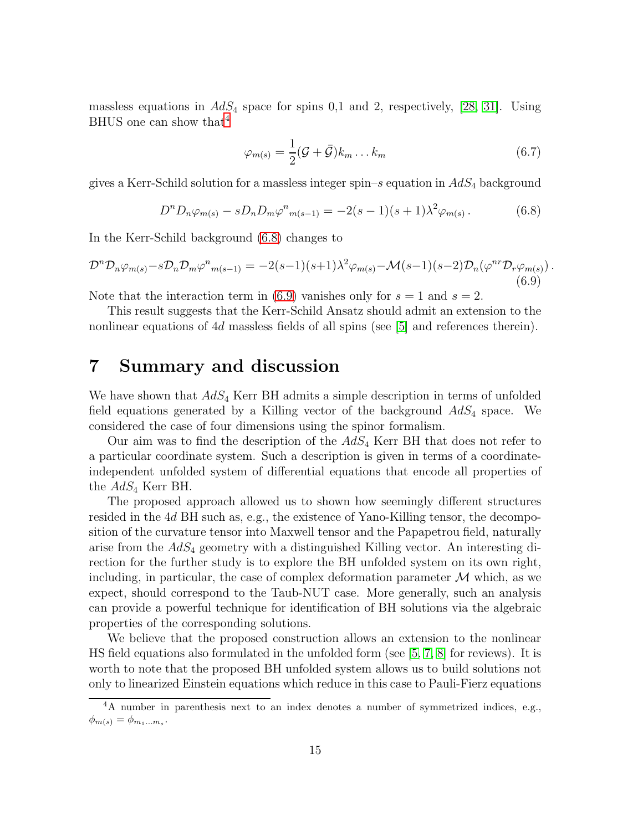massless equations in  $AdS_4$  space for spins 0,1 and 2, respectively, [\[28,](#page-16-13) [31\]](#page-16-16). Using BHUS one can show that  $4$ 

$$
\varphi_{m(s)} = \frac{1}{2}(\mathcal{G} + \bar{\mathcal{G}})k_m \dots k_m \tag{6.7}
$$

gives a Kerr-Schild solution for a massless integer spin–s equation in  $AdS_4$  background

<span id="page-14-2"></span>
$$
D^{n}D_{n}\varphi_{m(s)} - sD_{n}D_{m}\varphi^{n}{}_{m(s-1)} = -2(s-1)(s+1)\lambda^{2}\varphi_{m(s)}.
$$
\n(6.8)

In the Kerr-Schild background [\(6.8\)](#page-14-2) changes to

<span id="page-14-3"></span>
$$
\mathcal{D}^n \mathcal{D}_n \varphi_{m(s)} - s \mathcal{D}_n \mathcal{D}_m \varphi^n{}_{m(s-1)} = -2(s-1)(s+1)\lambda^2 \varphi_{m(s)} - \mathcal{M}(s-1)(s-2)\mathcal{D}_n(\varphi^{nr} \mathcal{D}_r \varphi_{m(s)})\,. \tag{6.9}
$$

Note that the interaction term in [\(6.9\)](#page-14-3) vanishes only for  $s = 1$  and  $s = 2$ .

This result suggests that the Kerr-Schild Ansatz should admit an extension to the nonlinear equations of 4d massless fields of all spins (see [\[5\]](#page-15-3) and references therein).

### <span id="page-14-0"></span>7 Summary and discussion

We have shown that  $AdS_4$  Kerr BH admits a simple description in terms of unfolded field equations generated by a Killing vector of the background  $AdS_4$  space. We considered the case of four dimensions using the spinor formalism.

Our aim was to find the description of the  $AdS_4$  Kerr BH that does not refer to a particular coordinate system. Such a description is given in terms of a coordinateindependent unfolded system of differential equations that encode all properties of the  $AdS_4$  Kerr BH.

The proposed approach allowed us to shown how seemingly different structures resided in the 4d BH such as, e.g., the existence of Yano-Killing tensor, the decomposition of the curvature tensor into Maxwell tensor and the Papapetrou field, naturally arise from the  $AdS_4$  geometry with a distinguished Killing vector. An interesting direction for the further study is to explore the BH unfolded system on its own right, including, in particular, the case of complex deformation parameter  $\mathcal M$  which, as we expect, should correspond to the Taub-NUT case. More generally, such an analysis can provide a powerful technique for identification of BH solutions via the algebraic properties of the corresponding solutions.

We believe that the proposed construction allows an extension to the nonlinear HS field equations also formulated in the unfolded form (see [\[5,](#page-15-3) [7,](#page-15-5) [8\]](#page-15-6) for reviews). It is worth to note that the proposed BH unfolded system allows us to build solutions not only to linearized Einstein equations which reduce in this case to Pauli-Fierz equations

<span id="page-14-1"></span><sup>4</sup>A number in parenthesis next to an index denotes a number of symmetrized indices, e.g.,  $\phi_{m(s)} = \phi_{m_1...m_s}.$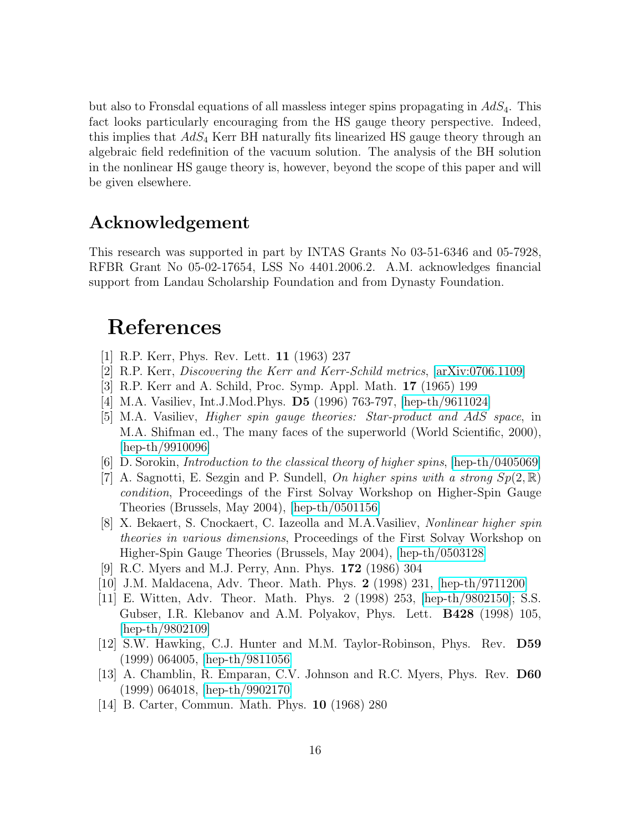but also to Fronsdal equations of all massless integer spins propagating in  $AdS_4$ . This fact looks particularly encouraging from the HS gauge theory perspective. Indeed, this implies that  $AdS_4$  Kerr BH naturally fits linearized HS gauge theory through an algebraic field redefinition of the vacuum solution. The analysis of the BH solution in the nonlinear HS gauge theory is, however, beyond the scope of this paper and will be given elsewhere.

## Acknowledgement

This research was supported in part by INTAS Grants No 03-51-6346 and 05-7928, RFBR Grant No 05-02-17654, LSS No 4401.2006.2. A.M. acknowledges financial support from Landau Scholarship Foundation and from Dynasty Foundation.

# References

- <span id="page-15-12"></span><span id="page-15-0"></span>[1] R.P. Kerr, Phys. Rev. Lett. 11 (1963) 237
- <span id="page-15-1"></span>[2] R.P. Kerr, *Discovering the Kerr and Kerr-Schild metrics*, [\[arXiv:0706.1109\]](http://arxiv.org/abs/0706.1109)
- <span id="page-15-2"></span>[3] R.P. Kerr and A. Schild, Proc. Symp. Appl. Math. 17 (1965) 199
- <span id="page-15-3"></span>[4] M.A. Vasiliev, Int.J.Mod.Phys. D5 (1996) 763-797, [\[hep-th/9611024\]](http://arxiv.org/abs/hep-th/9611024)
- [5] M.A. Vasiliev, *Higher spin gauge theories: Star-product and* AdS *space*, in M.A. Shifman ed., The many faces of the superworld (World Scientific, 2000), [\[hep-th/9910096\]](http://arxiv.org/abs/hep-th/9910096)
- <span id="page-15-5"></span><span id="page-15-4"></span>[6] D. Sorokin, *Introduction to the classical theory of higher spins*, [\[hep-th/0405069\]](http://arxiv.org/abs/hep-th/0405069)
- [7] A. Sagnotti, E. Sezgin and P. Sundell, *On higher spins with a strong*  $Sp(2,\mathbb{R})$ *condition*, Proceedings of the First Solvay Workshop on Higher-Spin Gauge Theories (Brussels, May 2004), [\[hep-th/0501156\]](http://arxiv.org/abs/hep-th/0501156)
- <span id="page-15-6"></span>[8] X. Bekaert, S. Cnockaert, C. Iazeolla and M.A.Vasiliev, *Nonlinear higher spin theories in various dimensions*, Proceedings of the First Solvay Workshop on Higher-Spin Gauge Theories (Brussels, May 2004), [\[hep-th/0503128\]](http://arxiv.org/abs/hep-th/0503128)
- <span id="page-15-8"></span><span id="page-15-7"></span>[9] R.C. Myers and M.J. Perry, Ann. Phys. 172 (1986) 304
- <span id="page-15-9"></span>[10] J.M. Maldacena, Adv. Theor. Math. Phys. 2 (1998) 231, [\[hep-th/9711200\]](http://arxiv.org/abs/hep-th/9711200)
- [11] E. Witten, Adv. Theor. Math. Phys. 2 (1998) 253, [\[hep-th/9802150\]](http://arxiv.org/abs/hep-th/9802150); S.S. Gubser, I.R. Klebanov and A.M. Polyakov, Phys. Lett. B428 (1998) 105, [\[hep-th/9802109\]](http://arxiv.org/abs/hep-th/9802109)
- <span id="page-15-10"></span>[12] S.W. Hawking, C.J. Hunter and M.M. Taylor-Robinson, Phys. Rev. D59 (1999) 064005, [\[hep-th/9811056\]](http://arxiv.org/abs/hep-th/9811056)
- <span id="page-15-11"></span>[13] A. Chamblin, R. Emparan, C.V. Johnson and R.C. Myers, Phys. Rev. D60 (1999) 064018, [\[hep-th/9902170\]](http://arxiv.org/abs/hep-th/9902170)
- <span id="page-15-13"></span>[14] B. Carter, Commun. Math. Phys. 10 (1968) 280